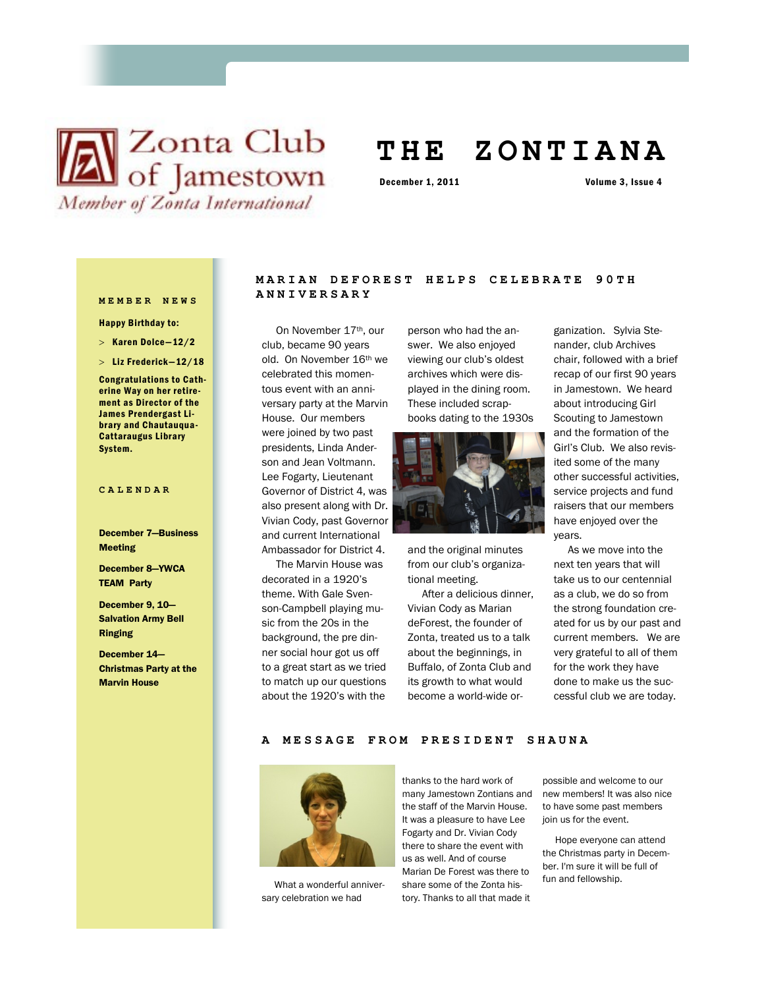# **X** Club of Jamestown Member of Zonta International

## **T H E Z O N T I A N A**

December 1, 2011 Volume 3, Issue 4

Happy Birthday to:

- $>$  Karen Dolce-12/2
- $>$  Liz Frederick-12/18

Congratulations to Catherine Way on her retirement as Director of the James Prendergast Library and Chautauqua-Cattaraugus Library System.

#### **CALENDAR**

December 7—Business Meeting

December 8—YWCA TEAM Party

December 9, 10— Salvation Army Bell Ringing

December 14— Christmas Party at the Marvin House

## **MARIAN DEFOREST HELP S C E L E B R A T E 9 0 T H ANNIVERSARY MEMBER NEWS**

 On November 17th, our club, became 90 years old. On November 16th we celebrated this momentous event with an anniversary party at the Marvin House. Our members were joined by two past presidents, Linda Anderson and Jean Voltmann. Lee Fogarty, Lieutenant Governor of District 4, was also present along with Dr. Vivian Cody, past Governor and current International Ambassador for District 4.

 The Marvin House was decorated in a 1920's theme. With Gale Svenson-Campbell playing music from the 20s in the background, the pre dinner social hour got us off to a great start as we tried to match up our questions about the 1920's with the

person who had the answer. We also enjoyed viewing our club's oldest archives which were displayed in the dining room. These included scrapbooks dating to the 1930s



and the original minutes from our club's organizational meeting.

 After a delicious dinner, Vivian Cody as Marian deForest, the founder of Zonta, treated us to a talk about the beginnings, in Buffalo, of Zonta Club and its growth to what would become a world-wide or-

ganization. Sylvia Stenander, club Archives chair, followed with a brief recap of our first 90 years in Jamestown. We heard about introducing Girl Scouting to Jamestown and the formation of the Girl's Club. We also revisited some of the many other successful activities, service projects and fund raisers that our members have enjoyed over the years.

 As we move into the next ten years that will take us to our centennial as a club, we do so from the strong foundation created for us by our past and current members. We are very grateful to all of them for the work they have done to make us the successful club we are today.

A MESSAGE FROM PRESIDENT SHAUNA



 What a wonderful anniversary celebration we had

thanks to the hard work of many Jamestown Zontians and the staff of the Marvin House. It was a pleasure to have Lee Fogarty and Dr. Vivian Cody there to share the event with us as well. And of course Marian De Forest was there to share some of the Zonta history. Thanks to all that made it

possible and welcome to our new members! It was also nice to have some past members join us for the event.

 Hope everyone can attend the Christmas party in December. I'm sure it will be full of fun and fellowship.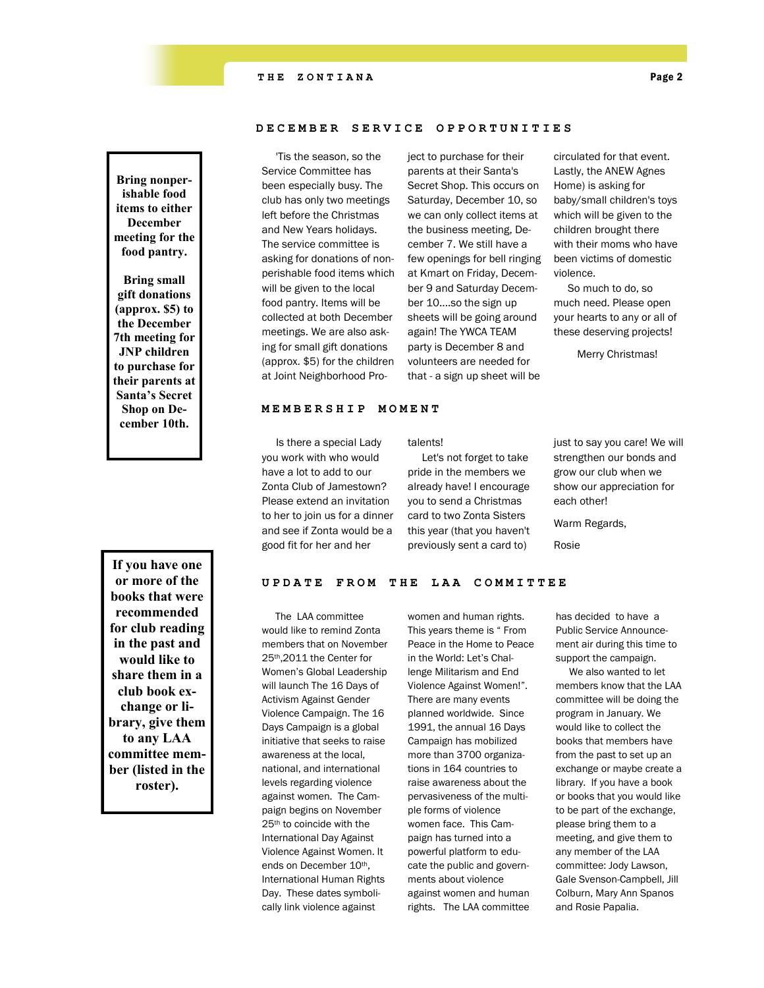**Bring nonperishable food items to either December meeting for the food pantry.**

**Bring small gift donations (approx. \$5) to the December 7th meeting for JNP children to purchase for their parents at Santa's Secret Shop on December 10th.**

**If you have one or more of the books that were recommended for club reading in the past and would like to share them in a club book exchange or library, give them to any LAA committee member (listed in the roster).**

#### **DECEMBER SERVICE OPPORTUNITI E S**

 'Tis the season, so the Service Committee has been especially busy. The club has only two meetings left before the Christmas and New Years holidays. The service committee is asking for donations of nonperishable food items which will be given to the local food pantry. Items will be collected at both December meetings. We are also asking for small gift donations (approx. \$5) for the children at Joint Neighborhood Project to purchase for their parents at their Santa's Secret Shop. This occurs on Saturday, December 10, so we can only collect items at the business meeting, December 7. We still have a few openings for bell ringing at Kmart on Friday, December 9 and Saturday December 10....so the sign up sheets will be going around again! The YWCA TEAM party is December 8 and volunteers are needed for that - a sign up sheet will be

circulated for that event. Lastly, the ANEW Agnes Home) is asking for baby/small children's toys which will be given to the children brought there with their moms who have been victims of domestic violence.

 So much to do, so much need. Please open your hearts to any or all of these deserving projects!

Merry Christmas!

#### **MEMBERSHIP MOMENT**

 Is there a special Lady you work with who would have a lot to add to our Zonta Club of Jamestown? Please extend an invitation to her to join us for a dinner and see if Zonta would be a good fit for her and her

talents!

 Let's not forget to take pride in the members we already have! I encourage you to send a Christmas card to two Zonta Sisters this year (that you haven't previously sent a card to)

just to say you care! We will strengthen our bonds and grow our club when we show our appreciation for each other!

Warm Regards,

Rosie

#### UPDATE FROM THE LAA COMMITTEE

 The LAA committee would like to remind Zonta members that on November 25th,2011 the Center for Women's Global Leadership will launch The 16 Days of Activism Against Gender Violence Campaign. The 16 Days Campaign is a global initiative that seeks to raise awareness at the local, national, and international levels regarding violence against women. The Campaign begins on November 25th to coincide with the International Day Against Violence Against Women. It ends on December 10th, International Human Rights Day. These dates symbolically link violence against

women and human rights. This years theme is " From Peace in the Home to Peace in the World: Let's Challenge Militarism and End Violence Against Women!". There are many events planned worldwide. Since 1991, the annual 16 Days Campaign has mobilized more than 3700 organizations in 164 countries to raise awareness about the pervasiveness of the multiple forms of violence women face. This Campaign has turned into a powerful platform to educate the public and governments about violence against women and human rights. The LAA committee

has decided to have a Public Service Announcement air during this time to support the campaign.

 We also wanted to let members know that the LAA committee will be doing the program in January. We would like to collect the books that members have from the past to set up an exchange or maybe create a library. If you have a book or books that you would like to be part of the exchange, please bring them to a meeting, and give them to any member of the LAA committee: Jody Lawson, Gale Svenson-Campbell, Jill Colburn, Mary Ann Spanos and Rosie Papalia.